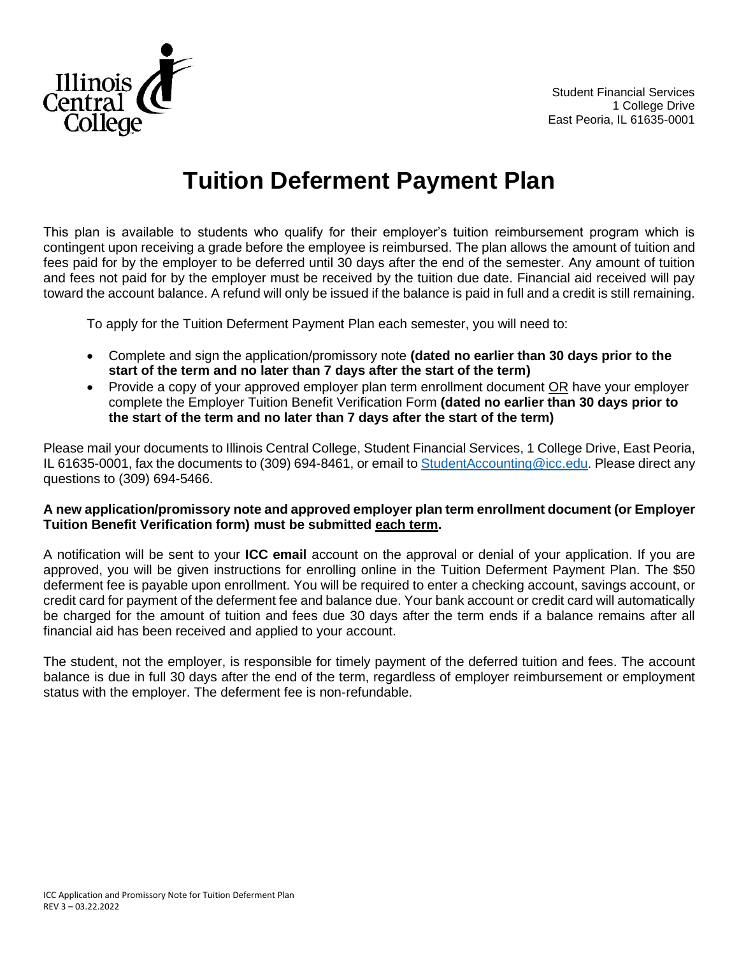

## **Tuition Deferment Payment Plan**

This plan is available to students who qualify for their employer's tuition reimbursement program which is contingent upon receiving a grade before the employee is reimbursed. The plan allows the amount of tuition and fees paid for by the employer to be deferred until 30 days after the end of the semester. Any amount of tuition and fees not paid for by the employer must be received by the tuition due date. Financial aid received will pay toward the account balance. A refund will only be issued if the balance is paid in full and a credit is still remaining.

To apply for the Tuition Deferment Payment Plan each semester, you will need to:

- Complete and sign the application/promissory note **(dated no earlier than 30 days prior to the start of the term and no later than 7 days after the start of the term)**
- Provide a copy of your approved employer plan term enrollment document OR have your employer complete the Employer Tuition Benefit Verification Form **(dated no earlier than 30 days prior to the start of the term and no later than 7 days after the start of the term)**

Please mail your documents to Illinois Central College, Student Financial Services, 1 College Drive, East Peoria, IL 61635-0001, fax the documents to (309) 694-8461, or email t[o StudentAccounting@icc.edu.](mailto:StudentAccounting@icc.edu) Please direct any questions to (309) 694-5466.

## **A new application/promissory note and approved employer plan term enrollment document (or Employer Tuition Benefit Verification form) must be submitted each term.**

A notification will be sent to your **ICC email** account on the approval or denial of your application. If you are approved, you will be given instructions for enrolling online in the Tuition Deferment Payment Plan. The \$50 deferment fee is payable upon enrollment. You will be required to enter a checking account, savings account, or credit card for payment of the deferment fee and balance due. Your bank account or credit card will automatically be charged for the amount of tuition and fees due 30 days after the term ends if a balance remains after all financial aid has been received and applied to your account.

The student, not the employer, is responsible for timely payment of the deferred tuition and fees. The account balance is due in full 30 days after the end of the term, regardless of employer reimbursement or employment status with the employer. The deferment fee is non-refundable.